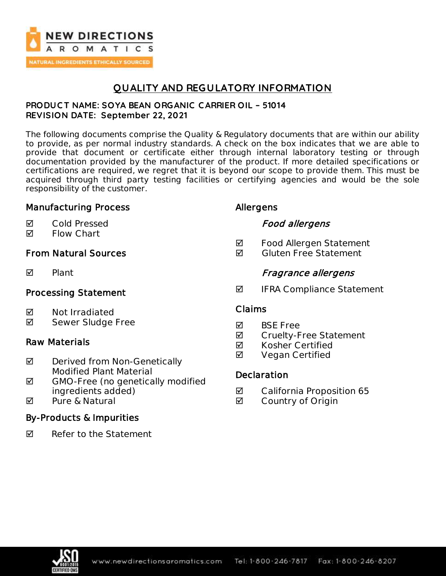

# **QUALITY AND REGULATORY INFORMATION**

### **PRODUC T NAME: SOYA BEAN ORGANIC C ARRIER OIL – 51014 REVISION DATE: September 22, 2021**

The following documents comprise the Quality & Regulatory documents that are within our ability to provide, as per normal industry standards. A check on the box indicates that we are able to provide that document or certificate either through internal laboratory testing or through documentation provided by the manufacturer of the product. If more detailed specifications or certifications are required, we regret that it is beyond our scope to provide them. This must be acquired through third party testing facilities or certifying agencies and would be the sole responsibility of the customer.

## Manufacturing Process

### **Ø** Cold Pressed

**Ø** Flow Chart

## From Natural Sources

 $\nabla$  Plant

## Processing Statement

- Not Irradiated
- **Ø** Sewer Sludge Free

## Raw Materials

- $\boxtimes$  Derived from Non-Genetically Modified Plant Material
- ◘ GMO-Free (no genetically modified ingredients added)
- $\blacksquare$  Pure & Natural

## By-Products & Impurities

 $\nabla$  Refer to the Statement

## Allergens

## Food allergens

- **Ø** Food Allergen Statement
- $\blacksquare$  Gluten Free Statement

## Fragrance allergens

 $\blacksquare$  IFRA Compliance Statement

## Claims

- **M** BSF Free
- **Ø** Cruelty-Free Statement
- **Ø** Kosher Certified
- **Ø** Vegan Certified

## **Declaration**

- California Proposition 65
- **Ø** Country of Origin

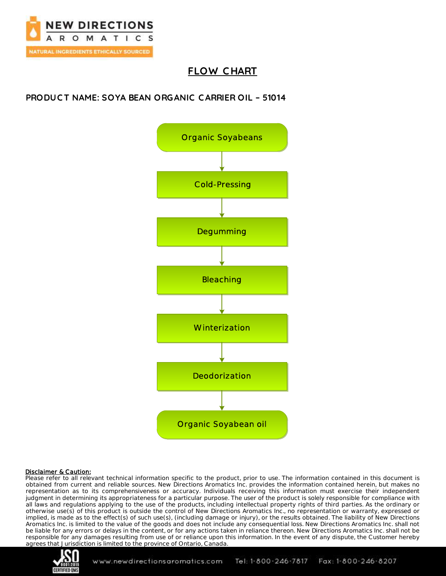

# **FLOW C HART**

## **PRODUC T NAME: SOYA BEAN ORGANIC C ARRIER OIL – 51014**



#### Disclaimer & Caution:

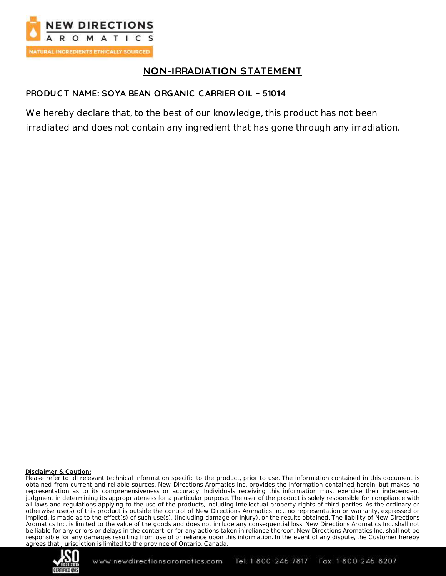

# **NON-IRRADIATION STATEMENT**

## **PRODUC T NAME: SOYA BEAN ORGANIC C ARRIER OIL – 51014**

We hereby declare that, to the best of our knowledge, this product has not been irradiated and does not contain any ingredient that has gone through any irradiation.

#### Disclaimer & Caution:

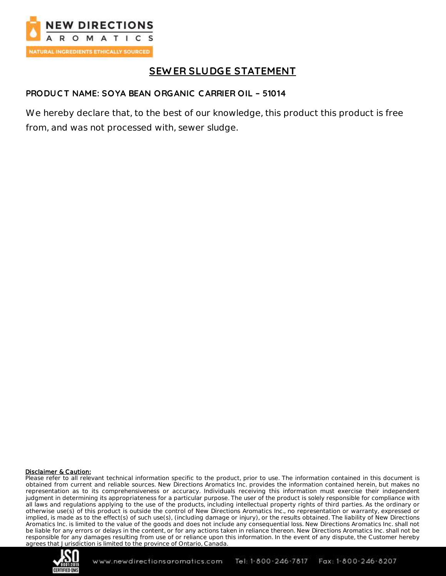

# **SEW ER SLUDGE STATEMENT**

### **PRODUC T NAME: SOYA BEAN ORGANIC C ARRIER OIL – 51014**

We hereby declare that, to the best of our knowledge, this product this product is free from, and was not processed with, sewer sludge.

#### Disclaimer & Caution:

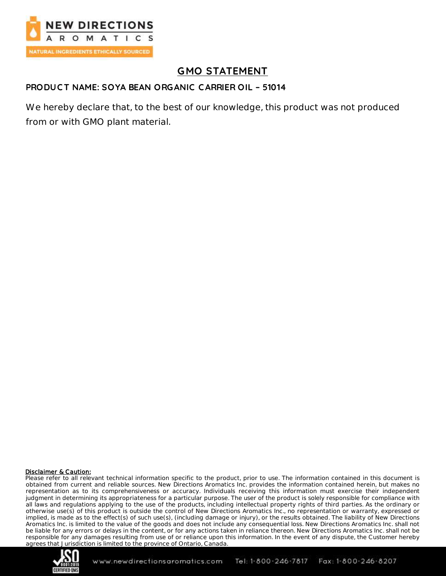

# **GMO STATEMENT**

### **PRODUC T NAME: SOYA BEAN ORGANIC C ARRIER OIL – 51014**

We hereby declare that, to the best of our knowledge, this product was not produced from or with GMO plant material.

#### Disclaimer & Caution:

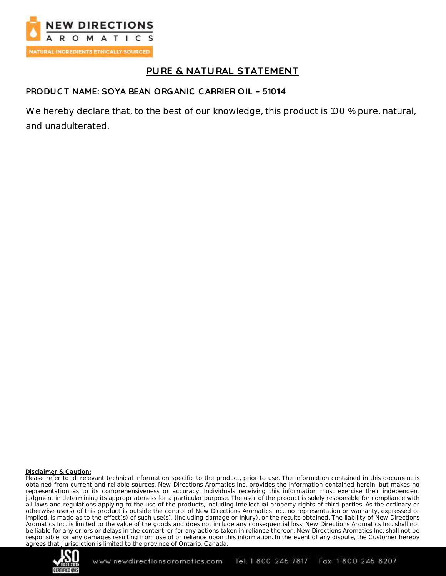

# **PURE & NATURAL STATEMENT**

## **PRODUC T NAME: SOYA BEAN ORGANIC C ARRIER OIL – 51014**

We hereby declare that, to the best of our knowledge, this product is 100 % pure, natural, and unadulterated.

#### Disclaimer & Caution:

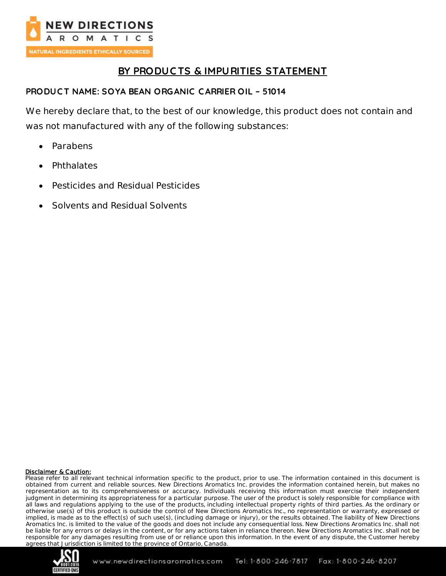

# **BY PRODUC TS & IMPURITIES STATEMENT**

## **PRODUC T NAME: SOYA BEAN ORGANIC C ARRIER OIL – 51014**

We hereby declare that, to the best of our knowledge, this product does not contain and was not manufactured with any of the following substances:

- Parabens
- **Phthalates**
- Pesticides and Residual Pesticides
- Solvents and Residual Solvents

#### Disclaimer & Caution:

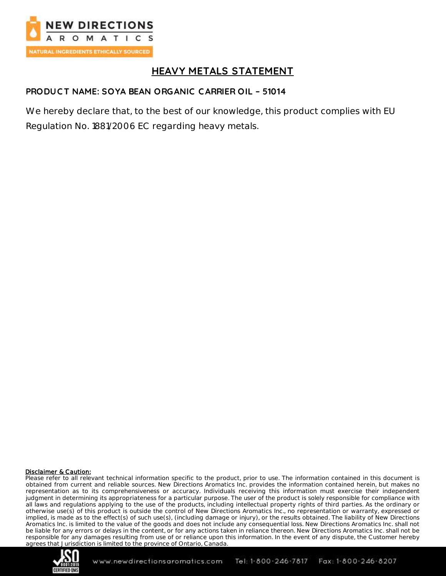

# **HEAVY METALS STATEMENT**

## **PRODUC T NAME: SOYA BEAN ORGANIC C ARRIER OIL – 51014**

We hereby declare that, to the best of our knowledge, this product complies with EU Regulation No. 1881/2006 EC regarding heavy metals.

#### Disclaimer & Caution:

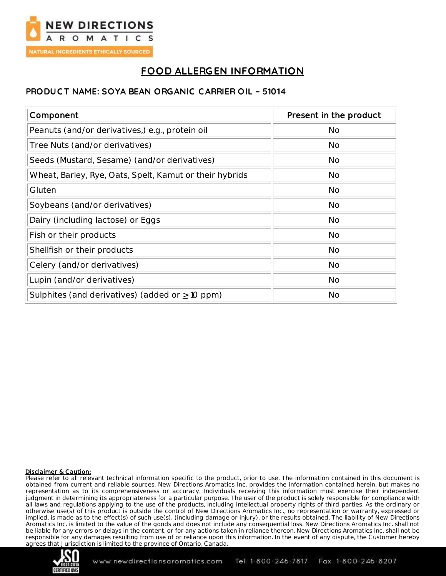

# **FOOD ALLERGEN INFORMATION**

### **PRODUC T NAME: SOYA BEAN ORGANIC C ARRIER OIL – 51014**

| Component                                               | Present in the product |
|---------------------------------------------------------|------------------------|
| Peanuts (and/or derivatives,) e.g., protein oil         | <b>No</b>              |
| Tree Nuts (and/or derivatives)                          | No                     |
| Seeds (Mustard, Sesame) (and/or derivatives)            | <b>No</b>              |
| Wheat, Barley, Rye, Oats, Spelt, Kamut or their hybrids | <b>No</b>              |
| Gluten                                                  | <b>No</b>              |
| Soybeans (and/or derivatives)                           | <b>No</b>              |
| Dairy (including lactose) or Eggs                       | <b>No</b>              |
| Fish or their products                                  | <b>No</b>              |
| Shellfish or their products                             | <b>No</b>              |
| Celery (and/or derivatives)                             | <b>No</b>              |
| Lupin (and/or derivatives)                              | <b>No</b>              |
| Sulphites (and derivatives) (added or $\geq$ 10 ppm)    | <b>No</b>              |

#### Disclaimer & Caution:

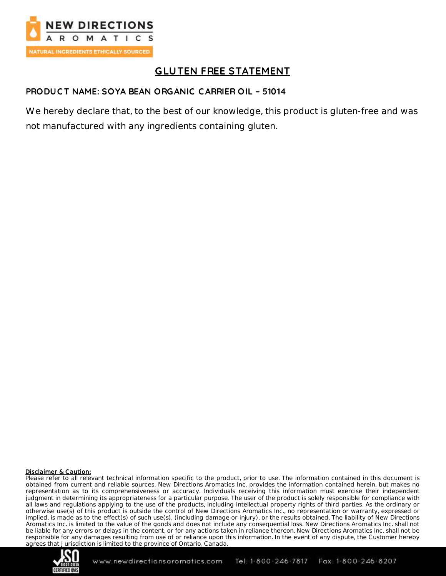

# **GLUTEN FREE STATEMENT**

## **PRODUC T NAME: SOYA BEAN ORGANIC C ARRIER OIL – 51014**

We hereby declare that, to the best of our knowledge, this product is gluten-free and was not manufactured with any ingredients containing gluten.

#### Disclaimer & Caution:

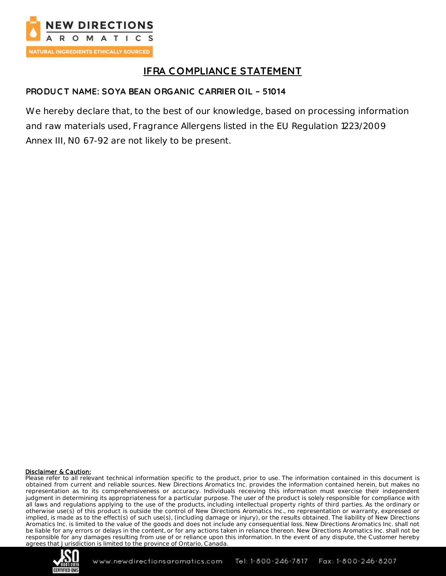

# **IFRA C OMPLIANCE STATEMENT**

## **PRODUC T NAME: SOYA BEAN ORGANIC C ARRIER OIL – 51014**

We hereby declare that, to the best of our knowledge, based on processing information and raw materials used, Fragrance Allergens listed in the EU Regulation 1223/2009 Annex III, N0 67-92 are not likely to be present.

#### Disclaimer & Caution:

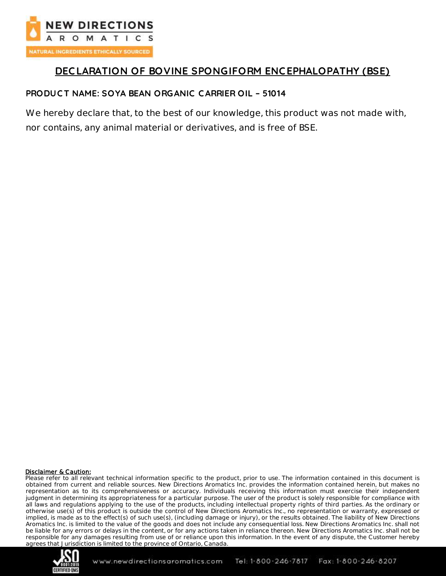

# **DEC LARATION OF BOVINE SPONGIFORM ENC EPHALOPATHY (BSE)**

## **PRODUC T NAME: SOYA BEAN ORGANIC C ARRIER OIL – 51014**

We hereby declare that, to the best of our knowledge, this product was not made with, nor contains, any animal material or derivatives, and is free of BSE.

#### Disclaimer & Caution:

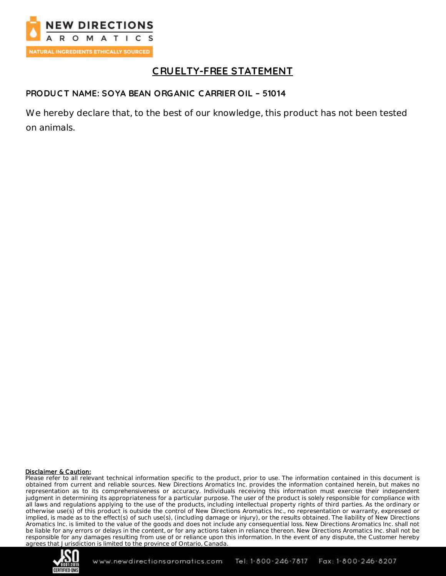

# **C RUELTY-FREE STATEMENT**

## **PRODUC T NAME: SOYA BEAN ORGANIC C ARRIER OIL – 51014**

We hereby declare that, to the best of our knowledge, this product has not been tested on animals.

#### Disclaimer & Caution:

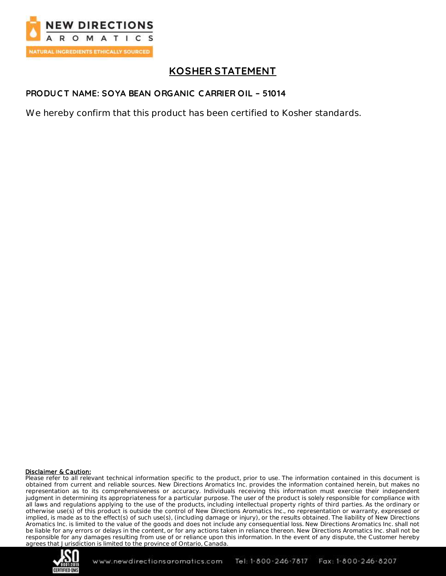

# **KOSHER STATEMENT**

## **PRODUC T NAME: SOYA BEAN ORGANIC C ARRIER OIL – 51014**

We hereby confirm that this product has been certified to Kosher standards.

#### Disclaimer & Caution:

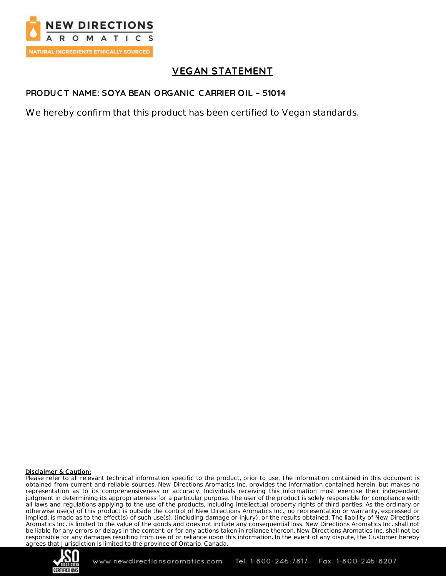

# **VEGAN STATEMENT**

## **PRODUC T NAME: SOYA BEAN ORGANIC C ARRIER OIL – 51014**

We hereby confirm that this product has been certified to Vegan standards.

#### Disclaimer & Caution:

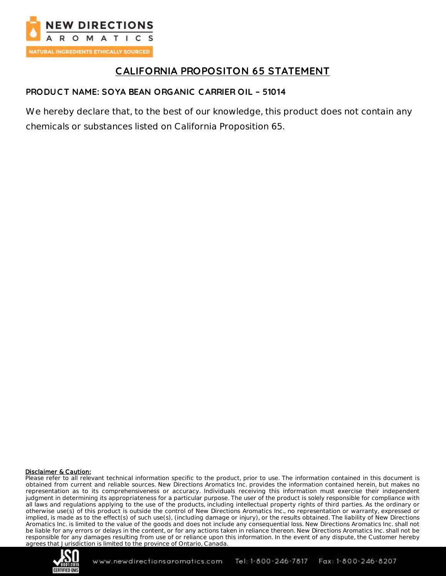

# **CALIFORNIA PROPOSITON 65 STATEMENT**

## **PRODUC T NAME: SOYA BEAN ORGANIC C ARRIER OIL – 51014**

We hereby declare that, to the best of our knowledge, this product does not contain any chemicals or substances listed on California Proposition 65.

#### Disclaimer & Caution: